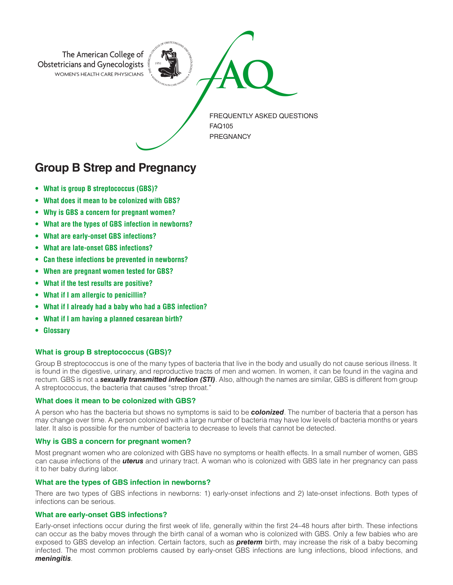

# **Group B Strep and Pregnancy**

- **• What is group B streptococcus (GBS)?**
- **• What does it mean to be colonized with GBS?**
- **• Why is GBS a concern for pregnant women?**
- **• What are the types of GBS infection in newborns?**
- **• What are early-onset GBS infections?**
- **• What are late-onset GBS infections?**
- **• Can these infections be prevented in newborns?**
- **• When are pregnant women tested for GBS?**
- **• What if the test results are positive?**
- **• What if I am allergic to penicillin?**
- **• What if I already had a baby who had a GBS infection?**
- **• What if I am having a planned cesarean birth?**
- **• Glossary**

# **What is group B streptococcus (GBS)?**

Group B streptococcus is one of the many types of bacteria that live in the body and usually do not cause serious illness. It is found in the digestive, urinary, and reproductive tracts of men and women. In women, it can be found in the vagina and rectum. GBS is not a *sexually transmitted infection (STI)*. Also, although the names are similar, GBS is different from group A streptococcus, the bacteria that causes "strep throat."

#### **What does it mean to be colonized with GBS?**

A person who has the bacteria but shows no symptoms is said to be *colonized*. The number of bacteria that a person has may change over time. A person colonized with a large number of bacteria may have low levels of bacteria months or years later. It also is possible for the number of bacteria to decrease to levels that cannot be detected.

#### **Why is GBS a concern for pregnant women?**

Most pregnant women who are colonized with GBS have no symptoms or health effects. In a small number of women, GBS can cause infections of the *uterus* and urinary tract. A woman who is colonized with GBS late in her pregnancy can pass it to her baby during labor.

# **What are the types of GBS infection in newborns?**

There are two types of GBS infections in newborns: 1) early-onset infections and 2) late-onset infections. Both types of infections can be serious.

#### **What are early-onset GBS infections?**

Early-onset infections occur during the first week of life, generally within the first 24–48 hours after birth. These infections can occur as the baby moves through the birth canal of a woman who is colonized with GBS. Only a few babies who are exposed to GBS develop an infection. Certain factors, such as *preterm* birth, may increase the risk of a baby becoming infected. The most common problems caused by early-onset GBS infections are lung infections, blood infections, and *meningitis*.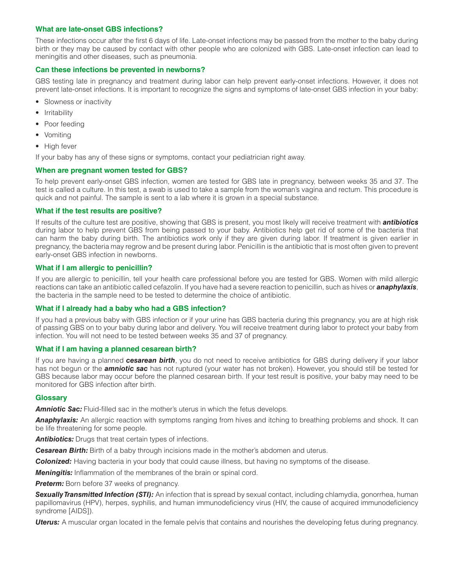# **What are late-onset GBS infections?**

These infections occur after the first 6 days of life. Late-onset infections may be passed from the mother to the baby during birth or they may be caused by contact with other people who are colonized with GBS. Late-onset infection can lead to meningitis and other diseases, such as pneumonia.

## **Can these infections be prevented in newborns?**

GBS testing late in pregnancy and treatment during labor can help prevent early-onset infections. However, it does not prevent late-onset infections. It is important to recognize the signs and symptoms of late-onset GBS infection in your baby:

- Slowness or inactivity
- Irritability
- Poor feeding
- Vomiting
- High fever

If your baby has any of these signs or symptoms, contact your pediatrician right away.

# **When are pregnant women tested for GBS?**

To help prevent early-onset GBS infection, women are tested for GBS late in pregnancy, between weeks 35 and 37. The test is called a culture. In this test, a swab is used to take a sample from the woman's vagina and rectum. This procedure is quick and not painful. The sample is sent to a lab where it is grown in a special substance.

## **What if the test results are positive?**

If results of the culture test are positive, showing that GBS is present, you most likely will receive treatment with *antibiotics* during labor to help prevent GBS from being passed to your baby. Antibiotics help get rid of some of the bacteria that can harm the baby during birth. The antibiotics work only if they are given during labor. If treatment is given earlier in pregnancy, the bacteria may regrow and be present during labor. Penicillin is the antibiotic that is most often given to prevent early-onset GBS infection in newborns.

## **What if I am allergic to penicillin?**

If you are allergic to penicillin, tell your health care professional before you are tested for GBS. Women with mild allergic reactions can take an antibiotic called cefazolin. If you have had a severe reaction to penicillin, such as hives or *anaphylaxis*, the bacteria in the sample need to be tested to determine the choice of antibiotic.

# **What if I already had a baby who had a GBS infection?**

If you had a previous baby with GBS infection or if your urine has GBS bacteria during this pregnancy, you are at high risk of passing GBS on to your baby during labor and delivery. You will receive treatment during labor to protect your baby from infection. You will not need to be tested between weeks 35 and 37 of pregnancy.

# **What if I am having a planned cesarean birth?**

If you are having a planned *cesarean birth*, you do not need to receive antibiotics for GBS during delivery if your labor has not begun or the *amniotic sac* has not ruptured (your water has not broken). However, you should still be tested for GBS because labor may occur before the planned cesarean birth. If your test result is positive, your baby may need to be monitored for GBS infection after birth.

#### **Glossary**

**Amniotic Sac:** Fluid-filled sac in the mother's uterus in which the fetus develops.

*Anaphylaxis:* An allergic reaction with symptoms ranging from hives and itching to breathing problems and shock. It can be life threatening for some people.

**Antibiotics:** Drugs that treat certain types of infections.

*Cesarean Birth:* Birth of a baby through incisions made in the mother's abdomen and uterus.

*Colonized:* Having bacteria in your body that could cause illness, but having no symptoms of the disease.

*Meningitis:* Inflammation of the membranes of the brain or spinal cord.

**Preterm:** Born before 37 weeks of pregnancy.

*Sexually Transmitted Infection (STI):* An infection that is spread by sexual contact, including chlamydia, gonorrhea, human papillomavirus (HPV), herpes, syphilis, and human immunodeficiency virus (HIV, the cause of acquired immunodeficiency syndrome [AIDS]).

*Uterus:* A muscular organ located in the female pelvis that contains and nourishes the developing fetus during pregnancy.